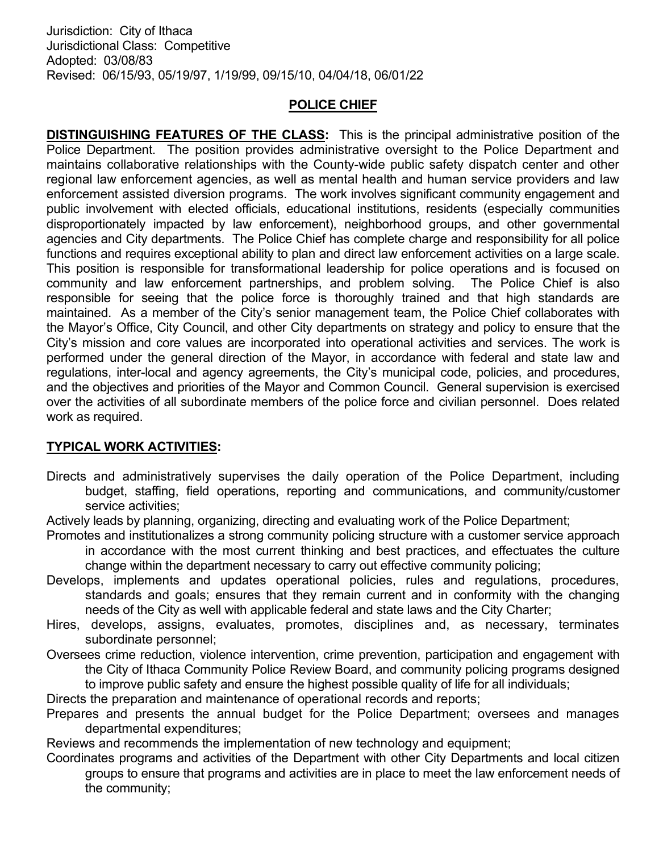## POLICE CHIEF

DISTINGUISHING FEATURES OF THE CLASS: This is the principal administrative position of the Police Department. The position provides administrative oversight to the Police Department and maintains collaborative relationships with the County-wide public safety dispatch center and other regional law enforcement agencies, as well as mental health and human service providers and law enforcement assisted diversion programs. The work involves significant community engagement and public involvement with elected officials, educational institutions, residents (especially communities disproportionately impacted by law enforcement), neighborhood groups, and other governmental agencies and City departments. The Police Chief has complete charge and responsibility for all police functions and requires exceptional ability to plan and direct law enforcement activities on a large scale. This position is responsible for transformational leadership for police operations and is focused on community and law enforcement partnerships, and problem solving. The Police Chief is also responsible for seeing that the police force is thoroughly trained and that high standards are maintained. As a member of the City's senior management team, the Police Chief collaborates with the Mayor's Office, City Council, and other City departments on strategy and policy to ensure that the City's mission and core values are incorporated into operational activities and services. The work is performed under the general direction of the Mayor, in accordance with federal and state law and regulations, inter-local and agency agreements, the City's municipal code, policies, and procedures, and the objectives and priorities of the Mayor and Common Council. General supervision is exercised over the activities of all subordinate members of the police force and civilian personnel. Does related work as required.

## TYPICAL WORK ACTIVITIES:

Directs and administratively supervises the daily operation of the Police Department, including budget, staffing, field operations, reporting and communications, and community/customer service activities;

Actively leads by planning, organizing, directing and evaluating work of the Police Department;

- Promotes and institutionalizes a strong community policing structure with a customer service approach in accordance with the most current thinking and best practices, and effectuates the culture change within the department necessary to carry out effective community policing;
- Develops, implements and updates operational policies, rules and regulations, procedures, standards and goals; ensures that they remain current and in conformity with the changing needs of the City as well with applicable federal and state laws and the City Charter;
- Hires, develops, assigns, evaluates, promotes, disciplines and, as necessary, terminates subordinate personnel;
- Oversees crime reduction, violence intervention, crime prevention, participation and engagement with the City of Ithaca Community Police Review Board, and community policing programs designed to improve public safety and ensure the highest possible quality of life for all individuals;

Directs the preparation and maintenance of operational records and reports;

Prepares and presents the annual budget for the Police Department; oversees and manages departmental expenditures;

Reviews and recommends the implementation of new technology and equipment;

Coordinates programs and activities of the Department with other City Departments and local citizen groups to ensure that programs and activities are in place to meet the law enforcement needs of the community;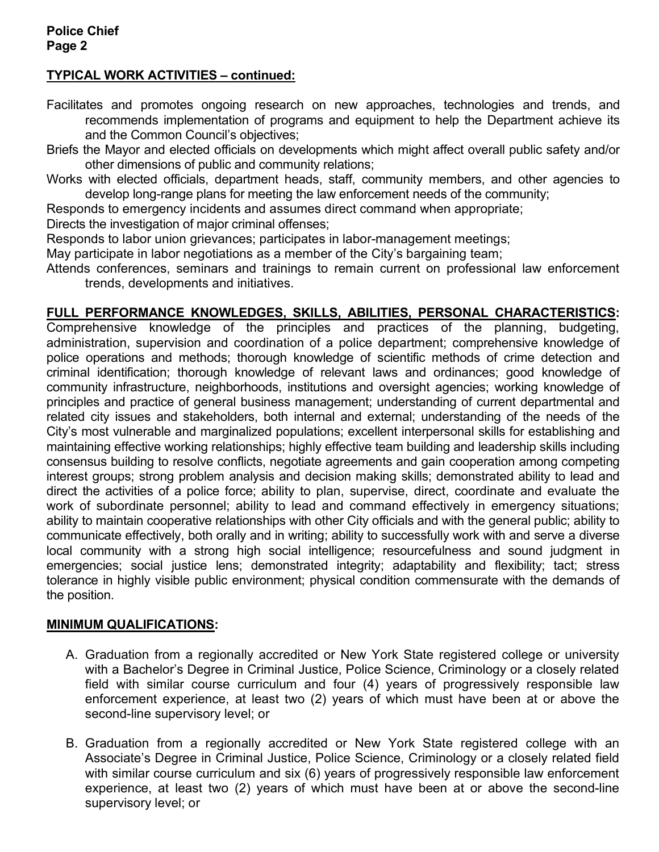# TYPICAL WORK ACTIVITIES – continued:

- Facilitates and promotes ongoing research on new approaches, technologies and trends, and recommends implementation of programs and equipment to help the Department achieve its and the Common Council's objectives;
- Briefs the Mayor and elected officials on developments which might affect overall public safety and/or other dimensions of public and community relations;
- Works with elected officials, department heads, staff, community members, and other agencies to develop long-range plans for meeting the law enforcement needs of the community;
- Responds to emergency incidents and assumes direct command when appropriate;

Directs the investigation of major criminal offenses;

- Responds to labor union grievances; participates in labor-management meetings;
- May participate in labor negotiations as a member of the City's bargaining team;
- Attends conferences, seminars and trainings to remain current on professional law enforcement trends, developments and initiatives.

## FULL PERFORMANCE KNOWLEDGES, SKILLS, ABILITIES, PERSONAL CHARACTERISTICS:

Comprehensive knowledge of the principles and practices of the planning, budgeting, administration, supervision and coordination of a police department; comprehensive knowledge of police operations and methods; thorough knowledge of scientific methods of crime detection and criminal identification; thorough knowledge of relevant laws and ordinances; good knowledge of community infrastructure, neighborhoods, institutions and oversight agencies; working knowledge of principles and practice of general business management; understanding of current departmental and related city issues and stakeholders, both internal and external; understanding of the needs of the City's most vulnerable and marginalized populations; excellent interpersonal skills for establishing and maintaining effective working relationships; highly effective team building and leadership skills including consensus building to resolve conflicts, negotiate agreements and gain cooperation among competing interest groups; strong problem analysis and decision making skills; demonstrated ability to lead and direct the activities of a police force; ability to plan, supervise, direct, coordinate and evaluate the work of subordinate personnel; ability to lead and command effectively in emergency situations; ability to maintain cooperative relationships with other City officials and with the general public; ability to communicate effectively, both orally and in writing; ability to successfully work with and serve a diverse local community with a strong high social intelligence; resourcefulness and sound judgment in emergencies; social justice lens; demonstrated integrity; adaptability and flexibility; tact; stress tolerance in highly visible public environment; physical condition commensurate with the demands of the position.

#### MINIMUM QUALIFICATIONS:

- A. Graduation from a regionally accredited or New York State registered college or university with a Bachelor's Degree in Criminal Justice, Police Science, Criminology or a closely related field with similar course curriculum and four (4) years of progressively responsible law enforcement experience, at least two (2) years of which must have been at or above the second-line supervisory level; or
- B. Graduation from a regionally accredited or New York State registered college with an Associate's Degree in Criminal Justice, Police Science, Criminology or a closely related field with similar course curriculum and six (6) years of progressively responsible law enforcement experience, at least two (2) years of which must have been at or above the second-line supervisory level; or